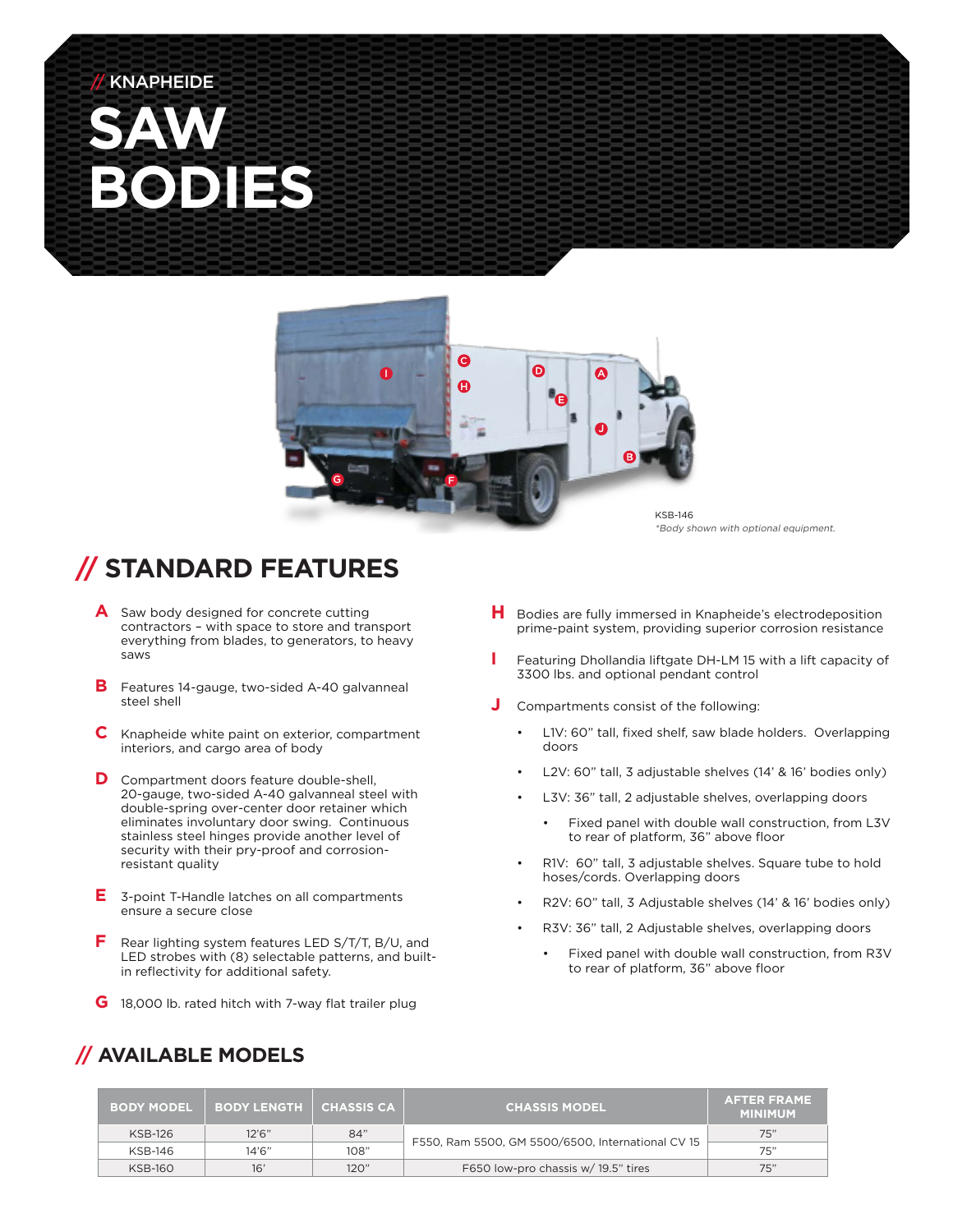## **SAW BODIES KNAPHEIDE**



\*Body shown with optional equipment.

### **// STANDARD FEATURES**

- **A** Saw body designed for concrete cutting contractors – with space to store and transport everything from blades, to generators, to heavy saws
- **B** Features 14-gauge, two-sided A-40 galvanneal steel shell
- **C** Knapheide white paint on exterior, compartment interiors, and cargo area of body
- **D** Compartment doors feature double-shell, 20-gauge, two-sided A-40 galvanneal steel with double-spring over-center door retainer which eliminates involuntary door swing. Continuous stainless steel hinges provide another level of security with their pry-proof and corrosionresistant quality
- **E** 3-point T-Handle latches on all compartments ensure a secure close
- **F** Rear lighting system features LED S/T/T, B/U, and LED strobes with (8) selectable patterns, and builtin reflectivity for additional safety.
- **G** 18,000 lb. rated hitch with 7-way flat trailer plug
- **H** Bodies are fully immersed in Knapheide's electrodeposition prime-paint system, providing superior corrosion resistance
- **I** Featuring Dhollandia liftgate DH-LM 15 with a lift capacity of 3300 lbs. and optional pendant control
- **J** Compartments consist of the following:
	- L1V: 60" tall, fixed shelf, saw blade holders. Overlapping doors
	- L2V: 60" tall, 3 adjustable shelves (14' & 16' bodies only)
	- L3V: 36" tall, 2 adjustable shelves, overlapping doors
		- Fixed panel with double wall construction, from L3V to rear of platform, 36" above floor
	- R1V: 60" tall, 3 adjustable shelves. Square tube to hold hoses/cords. Overlapping doors
	- R2V: 60" tall, 3 Adjustable shelves (14' & 16' bodies only)
	- R3V: 36" tall, 2 Adjustable shelves, overlapping doors
		- Fixed panel with double wall construction, from R3V to rear of platform, 36" above floor

#### **// AVAILABLE MODELS**

| <b>BODY MODEL</b> | <b>BODY LENGTH</b> | CHASSIS CA | <b>CHASSIS MODEL</b>                              | <b>AFTER FRAME</b><br><b>MINIMUM</b> |
|-------------------|--------------------|------------|---------------------------------------------------|--------------------------------------|
| KSB-126           | 12'6''             | 84"        | F550, Ram 5500, GM 5500/6500, International CV 15 | 75"                                  |
| KSB-146           | 14'6''             | 108"       |                                                   | 75"                                  |
| <b>KSB-160</b>    | 16'                | 120"       | F650 low-pro chassis w/ 19.5" tires               | 75"                                  |